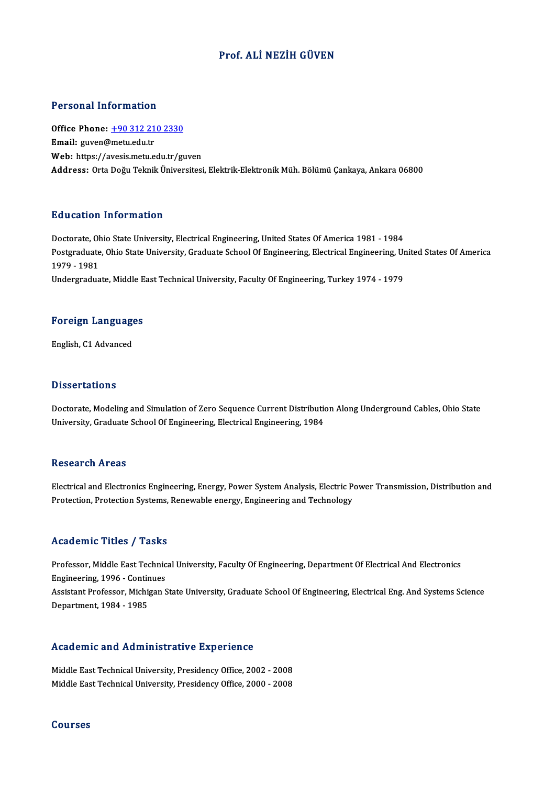### Prof. ALİ NEZİH GÜVEN

### Personal Information

Personal Information<br>Office Phone: <u>+90 312 210 2330</u><br>Email: *mwor@*matuedu.tr Fersonar micromation<br>Office Phone: <u>+90 312 21</u><br>Email: guven@metu.edu.tr Email: guven@metu.edu.tr<br>Web: https://a[vesis.metu.edu.tr/gu](tel:+90 312 210 2330)ven Address: OrtaDoğuTeknikÜniversitesi,Elektrik-ElektronikMüh.BölümüÇankaya,Ankara 06800

### Education Information

Education Information<br>Doctorate, Ohio State University, Electrical Engineering, United States Of America 1981 - 1984<br>Postsraduate Ohio State University, Creduate School Of Engineering, Electrical Engineering, Un Pulateduation Throt Interon<br>Doctorate, Ohio State University, Electrical Engineering, United States Of America 1981 - 1984<br>Postgraduate, Ohio State University, Graduate School Of Engineering, Electrical Engineering, United Doctorate, O<mark>l</mark><br>Postgraduate<br>1979 - 1981<br>Undergradua Postgraduate, Ohio State University, Graduate School Of Engineering, Electrical Engineering, Ur<br>1979 - 1981<br>Undergraduate, Middle East Technical University, Faculty Of Engineering, Turkey 1974 - 1979

## <sub>ondergraduate, middle E<br>Foreign Languages</sub> F<mark>oreign Languag</mark>e<br>English, C1 Advanced

English, C1 Advanced<br>Dissertations

Doctorate, Modeling and Simulation of Zero Sequence Current Distribution Along Underground Cables, Ohio State University, Graduate School Of Engineering, Electrical Engineering, 1984

### **Research Areas**

Research Areas<br>Electrical and Electronics Engineering, Energy, Power System Analysis, Electric Power Transmission, Distribution and<br>Pretection, Pretection Systems, Peneughle energy, Engineering and Technology. reseen en In eas<br>Electrical and Electronics Engineering, Energy, Power System Analysis, Electric P<br>Protection, Protection Systems, Renewable energy, Engineering and Technology Protection, Protection Systems, Renewable energy, Engineering and Technology<br>Academic Titles / Tasks

Academic Titles / Tasks<br>Professor, Middle East Technical University, Faculty Of Engineering, Department Of Electrical And Electronics<br>Engineering, 1996, Continues Professor, Middle East Technic<br>Engineering, 1996 - Continues<br>Assistant Professor, Michigan S Engineering, 1996 - Continues<br>Assistant Professor, Michigan State University, Graduate School Of Engineering, Electrical Eng. And Systems Science Department,1984 -1985

# bepartment, 1984 - 1985<br>Academic and Administrative Experience

Academic and Administrative Experience<br>Middle East Technical University, Presidency Office, 2002 - 2008<br>Middle Feet Technical University, Presidency Office, 2000 - 2009 Middle East Technical University, Presidency Office, 2002 - 2008<br>Middle East Technical University, Presidency Office, 2000 - 2008

### Courses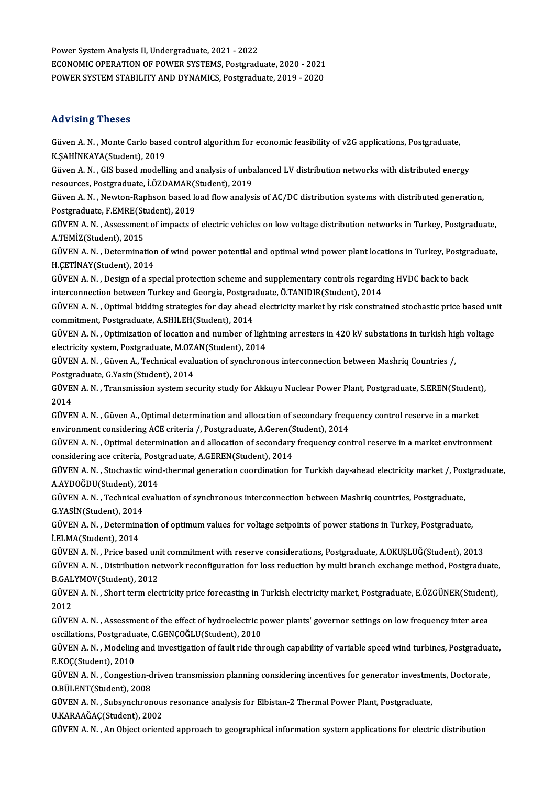Power System Analysis II, Undergraduate, 2021 - 2022 Power System Analysis II, Undergraduate, 2021 - 2022<br>ECONOMIC OPERATION OF POWER SYSTEMS, Postgraduate, 2020 - 2021<br>POWER SYSTEM STARU ITV AND DYNAMICS, Restgraduate, 2019 - 2020 Power System Analysis II, Undergraduate, 2021 - 2022<br>ECONOMIC OPERATION OF POWER SYSTEMS, Postgraduate, 2020 - 2021<br>POWER SYSTEM STABILITY AND DYNAMICS, Postgraduate, 2019 - 2020 POWER SYSTEM STABILITY AND DYNAMICS, Postgraduate, 2019 - 2020<br>Advising Theses

Advising Theses<br>Güven A. N. , Monte Carlo based control algorithm for economic feasibility of v2G applications, Postgraduate,<br>K.SAHNKAVA(Student), 2019 THE FISHING<br>Güven A. N. , Monte Carlo base<br>K.ŞAHİNKAYA(Student), 2019<br>Güven A. N. , CIS based modelli Güven A. N. , Monte Carlo based control algorithm for economic feasibility of v2G applications, Postgraduate,<br>K.ŞAHİNKAYA(Student), 2019<br>Güven A. N. , GIS based modelling and analysis of unbalanced LV distribution networks

K.ŞAHİNKAYA(Student), 2019<br>Güven A. N. , GIS based modelling and analysis of unbalanced LV distribution networks with distributed energy<br>resources, Postgraduate, İ.ÖZDAMAR(Student), 2019 Güven A. N. , GIS based modelling and analysis of unbalanced LV distribution networks with distributed energy<br>resources, Postgraduate, İ.ÖZDAMAR(Student), 2019<br>Güven A. N. , Newton-Raphson based load flow analysis of AC/DC

resources, Postgraduate, İ.ÖZDAMAR(S<br>Güven A. N. , Newton-Raphson based k<br>Postgraduate, F.EMRE(Student), 2019<br>CÜVEN A. N. , Assessment of imperts of Güven A. N. , Newton-Raphson based load flow analysis of AC/DC distribution systems with distributed generation,<br>Postgraduate, F.EMRE(Student), 2019<br>GÜVEN A. N. , Assessment of impacts of electric vehicles on low voltage d

Postgraduate, F.EMRE(St.<br>GÜVEN A. N. , Assessmen<br>A.TEMİZ(Student), 2015<br>GÜVEN A. N. , Determinat GÜVEN A. N. , Assessment of impacts of electric vehicles on low voltage distribution networks in Turkey, Postgraduate,<br>A.TEMİZ(Student), 2015<br>GÜVEN A. N. , Determination of wind power potential and optimal wind power plant

A.TEMİZ(Student), 2015<br>GÜVEN A. N. , Determination<br>H.ÇETİNAY(Student), 2014<br>GÜVEN A. N. , Design of a sp GÜVEN A.N. , Determination of wind power potential and optimal wind power plant locations in Turkey, Postgram<br>H.C.ETİNAY(Student), 2014<br>GÜVEN A.N. , Design of a special protection scheme and supplementary controls regardin

H.ÇETİNAY(Student), 2014<br>GÜVEN A. N. , Design of a special protection scheme and supplementary controls regardi<br>interconnection between Turkey and Georgia, Postgraduate, Ö.TANIDIR(Student), 2014<br>CÜVEN A. N. , Optimal biddi GÜVEN A. N. , Design of a special protection scheme and supplementary controls regarding HVDC back to back<br>interconnection between Turkey and Georgia, Postgraduate, Ö.TANIDIR(Student), 2014<br>GÜVEN A. N. , Optimal bidding st

interconnection between Turkey and Georgia, Postgraduate, Ö.TANIDIR(Student), 2014<br>GÜVEN A. N. , Optimal bidding strategies for day ahead electricity market by risk constrained stochastic price based unit<br>commitment, Postg GÜVEN A.N. , Optimal bidding strategies for day ahead electricity market by risk constrained stochastic price based un<br>commitment, Postgraduate, A.SHILEH(Student), 2014<br>GÜVEN A.N. , Optimization of location and number of l

commitment, Postgraduate, A.SHILEH(Student), 2014<br>GÜVEN A. N. , Optimization of location and number of ligh<br>electricity system, Postgraduate, M.OZAN(Student), 2014 GÜVEN A.N. , Optimization of location and number of lightning arresters in 420 kV substations in turkish hige<br>electricity system, Postgraduate, M.OZAN(Student), 2014<br>GÜVEN A.N. , Güven A., Technical evaluation of synchrono

electricity system, Postgraduate, M.OZAN(Student), 2014<br>GÜVEN A. N. , Güven A., Technical evaluation of synchronous interconnection between Mashriq Countries /,<br>Postgraduate, G.Yasin(Student), 2014 GÜVEN A. N. , Güven A., Technical evaluation of synchronous interconnection between Mashriq Countries /,<br>Postgraduate, G.Yasin(Student), 2014<br>GÜVEN A. N. , Transmission system security study for Akkuyu Nuclear Power Plant,

Post<mark>gi</mark><br>GÜVEl<br>2014<br>CÜVEl GÜVEN A.N. , Transmission system security study for Akkuyu Nuclear Power Plant, Postgraduate, S.EREN(Student<br>2014<br>GÜVEN A.N. , Güven A., Optimal determination and allocation of secondary frequency control reserve in a mark

2014<br>GÜVEN A. N. , Güven A., Optimal determination and allocation of secondary frequency control reserve in a market<br>environment considering ACE criteria /, Postgraduate, A.Geren(Student), 2014 GÜVEN A. N. , Güven A., Optimal determination and allocation of secondary frequency control reserve in a market<br>environment considering ACE criteria /, Postgraduate, A.Geren(Student), 2014<br>GÜVEN A. N. , Optimal determinati

environment considering ACE criteria /, Postgraduate, A.Geren(SGÜVEN A. N. , Optimal determination and allocation of secondary<br>considering ace criteria, Postgraduate, A.GEREN(Student), 2014<br>CÜVEN A. N., Stechastic wind the GÜVEN A.N. , Optimal determination and allocation of secondary frequency control reserve in a market environment<br>considering ace criteria, Postgraduate, A.GEREN(Student), 2014<br>GÜVEN A.N. , Stochastic wind-thermal generatio

considering ace criteria, Postgraduate, A.GEREN(Student), 2014<br>GÜVEN A. N. , Stochastic wind-thermal generation coordination for Turkish day-ahead electricity market /, Pos<br>A.AYDOĞDU(Student), 2014<br>GÜVEN A. N. , Technical GÜVEN A. N. , Stochastic wind-thermal generation coordination for Turkish day-ahead electricity market /, Postgraduate,<br>A.AYDOĞDU(Student), 2014<br>GÜVEN A. N. , Technical evaluation of synchronous interconnection between Mas A.AYDOĞDU(Student), 2014

GÜVEN A. N. , Technical evaluation of synchronous interconnection between Mashriq countries, Postgraduate,<br>G.YASİN(Student), 2014<br>GÜVEN A. N. , Determination of optimum values for voltage setpoints of power stations in Tur

G.YASİN(Student), 2014<br>GÜVEN A.N. , Determina<br>İ.ELMA(Student), 2014<br>CÜVEN A.N. , Prise başç GÜVEN A. N. , Determination of optimum values for voltage setpoints of power stations in Turkey, Postgraduate,<br>İ.ELMA(Student), 2014<br>GÜVEN A. N. , Price based unit commitment with reserve considerations, Postgraduate, A.OK

İ.ELMA(Student), 2014<br>GÜVEN A. N. , Price based unit commitment with reserve considerations, Postgraduate, A.OKUŞLUĞ(Student), 2013<br>GÜVEN A. N. , Distribution network reconfiguration for loss reduction by multi branch exch GÜVEN A. N. , Price based un<br>GÜVEN A. N. , Distribution ne<br>B.GALYMOV(Student), 2012 GÜVEN A. N. , Distribution network reconfiguration for loss reduction by multi branch exchange method, Postgraduate<br>B.GALYMOV(Student), 2012<br>GÜVEN A. N. , Short term electricity price forecasting in Turkish electricity mar

**B.GAL<br>GÜVE**<br>2012<br>CÜVE GÜVEN A.N. , Short term electricity price forecasting in Turkish electricity market, Postgraduate, E.ÖZGÜNER(Studen<br>2012<br>GÜVEN A.N. , Assessment of the effect of hydroelectric power plants' governor settings on low frequen

2012<br>GÜVEN A. N. , Assessment of the effect of hydroelectric power plants' governor settings on low frequency inter area<br>oscillations, Postgraduate, C.GENÇOĞLU(Student), 2010 GÜVEN A.N. , Assessment of the effect of hydroelectric power plants' governor settings on low frequency inter area<br>oscillations, Postgraduate, C.GENÇOĞLU(Student), 2010<br>GÜVEN A.N. , Modeling and investigation of fault ride

**oscillations, Postgradu:<br>GÜVEN A. N. , Modeling<br>E.KOÇ(Student), 2010<br>GÜVEN A. N. , Congesti** GÜVEN A.N. , Modeling and investigation of fault ride through capability of variable speed wind turbines, Postgradua<br>E.KOÇ(Student), 2010<br>GÜVEN A.N. , Congestion-driven transmission planning considering incentives for gene

E.KOÇ(Student), 2010<br>GÜVEN A. N. , Congestion-d<br>O.BÜLENT(Student), 2008<br>CÜVEN A. N. , Subsymshuan GÜVEN A. N. , Congestion-driven transmission planning considering incentives for generator investme<br>O.BÜLENT(Student), 2008<br>GÜVEN A. N. , Subsynchronous resonance analysis for Elbistan-2 Thermal Power Plant, Postgraduate,<br>

O.BÜLENT(Student), 2008<br>GÜVEN A. N. , Subsynchronous resonance analysis for Elbistan-2 Thermal Power Plant, Postgraduate,<br>U.KARAAĞAÇ(Student), 2002

GÜVEN A.N., An Object oriented approach to geographical information system applications for electric distribution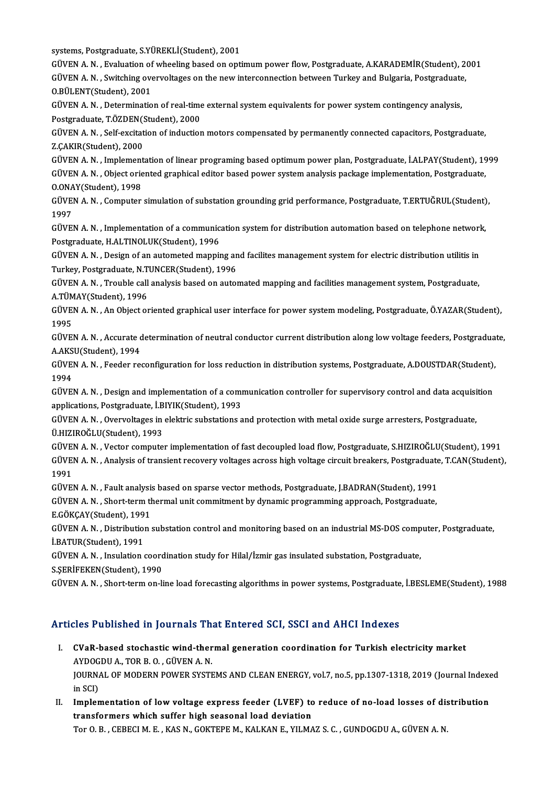systems, Postgraduate, S.YÜREKLİ(Student), 2001

systems, Postgraduate, S.YÜREKLİ(Student), 2001<br>GÜVEN A. N. , Evaluation of wheeling based on optimum power flow, Postgraduate, A.KARADEMİR(Student), 2001<br>GÜVEN A. N. , Suitching everyelteges on the new interseppestien bet systems, Postgraduate, S.YÜREKLİ(Student), 2001<br>GÜVEN A. N. , Evaluation of wheeling based on optimum power flow, Postgraduate, A.KARADEMİR(Student), 2<br>GÜVEN A. N. , Switching overvoltages on the new interconnection betwee GÜVEN A. N. , Evaluation of<br>GÜVEN A. N. , Switching over<br>O.BÜLENT(Student), 2001 GÜVEN A. N. , Switching overvoltages on the new interconnection between Turkey and Bulgaria, Postgraduate<br>O.BÜLENT(Student), 2001<br>GÜVEN A. N. , Determination of real-time external system equivalents for power system contin

**O.BÜLENT(Student), 2001<br>GÜVEN A. N. , Determination of real-time<br>Postgraduate, T.ÖZDEN(Student), 2000**<br>CÜVEN A. N. Self excitation of induction GÜVEN A. N. , Determination of real-time external system equivalents for power system contingency analysis,<br>Postgraduate, T.ÖZDEN(Student), 2000<br>GÜVEN A. N. , Self-excitation of induction motors compensated by permanently

Postgraduate, T.ÖZDEN(<br>GÜVEN A. N. , Self-excitat<br>Z.ÇAKIR(Student), 2000<br>CÜVEN A. N. , Implement GÜVEN A. N. , Self-excitation of induction motors compensated by permanently connected capacitors, Postgraduate,<br>Z.ÇAKIR(Student), 2000<br>GÜVEN A. N. , Implementation of linear programing based optimum power plan, Postgradua

Z.ÇAKIR(Student), 2000<br>GÜVEN A. N. , Implementation of linear programing based optimum power plan, Postgraduate, İ.ALPAY(Student), 19<br>GÜVEN A. N. , Object oriented graphical editor based power system analysis package imple GÜVEN A. N. , Implement<br>GÜVEN A. N. , Object orie<br>O.ONAY(Student), 1998 0.0NAY(Student), 1998

GÜVEN A.N., Computer simulation of substation grounding grid performance, Postgraduate, T.ERTUĞRUL(Student),<br>1997 GÜVEN A.N. , Computer simulation of substation grounding grid performance, Postgraduate, T.ERTUĞRUL(Student)<br>1997<br>GÜVEN A.N. , Implementation of a communication system for distribution automation based on telephone network

1997<br>GÜVEN A. N. , Implementation of a communic<br>Postgraduate, H.ALTINOLUK(Student), 1996<br>GÜVEN A. N. , Dosign of an automated mannit GÜVEN A.N. , Implementation of a communication system for distribution automation based on telephone networl<br>Postgraduate, H.ALTINOLUK(Student), 1996<br>GÜVEN A.N. , Design of an autometed mapping and facilites management sys

Postgraduate, H.ALTINOLUK(Student), 1996<br>GÜVEN A. N. , Design of an autometed mapping an<br>Turkey, Postgraduate, N.TUNCER(Student), 1996<br>CÜVEN A. N. , Trouble gall analysis based on auto GÜVEN A. N. , Design of an autometed mapping and facilites management system for electric distribution utilitis in<br>Turkey, Postgraduate, N.TUNCER(Student), 1996<br>GÜVEN A. N. , Trouble call analysis based on automated mappin

Turkey, Postgraduate, N.TUNCER(Student), 1996<br>GÜVEN A. N. , Trouble call analysis based on automated mapping and facilities management system, Postgraduate,<br>A.TÜMAY(Student), 1996 GÜVEN A. N. , Trouble call analysis based on automated mapping and facilities management system, Postgraduate,<br>A.TÜMAY(Student), 1996<br>GÜVEN A. N. , An Object oriented graphical user interface for power system modeling, Pos

A.TÜM<br>GÜVEI<br>1995<br>CÜVEI GÜVEN A. N. , An Object oriented graphical user interface for power system modeling, Postgraduate, Ö.YAZAR(Student),<br>1995<br>GÜVEN A. N. , Accurate determination of neutral conductor current distribution along low voltage fee

1995<br>GÜVEN A. N. , Accurate determination of neutral conductor current distribution along low voltage feeders, Postgraduate,<br>A.AKSU(Student), 1994 GÜVEN A. N. , Accurate determination of neutral conductor current distribution along low voltage feeders, Postgradua<br>A.AKSU(Student), 1994<br>GÜVEN A. N. , Feeder reconfiguration for loss reduction in distribution systems, Po

A.AKS<br>GÜVE<br>1994<br>CÜVE GÜVEN A. N. , Feeder reconfiguration for loss reduction in distribution systems, Postgraduate, A.DOUSTDAR(Student),<br>1994<br>GÜVEN A. N. , Design and implementation of a communication controller for supervisory control and dat

1994<br>GÜVEN A. N. , Design and implementation of a comi<br>applications, Postgraduate, İ.BIYIK(Student), 1993<br>GÜVEN A. N. , Querveltages in elektris substations s GÜVEN A. N. , Design and implementation of a communication controller for supervisory control and data acquisi<br>applications, Postgraduate, İ.BIYIK(Student), 1993<br>GÜVEN A. N. , Overvoltages in elektric substations and prote

applications, Postgraduate, İ.BIYIK(Student), 1993<br>GÜVEN A. N. , Overvoltages in elektric substations and protection with metal oxide surge arresters, Postgraduate,<br>Ü.HIZIROĞLU(Student), 1993 GÜVEN A. N. , Overvoltages in elektric substations and protection with metal oxide surge arresters, Postgraduate,<br>Ü.HIZIROĞLU(Student), 1993<br>GÜVEN A. N. , Vector computer implementation of fast decoupled load flow, Postgra

Ü.HIZIROĞLU(Student), 1993<br>GÜVEN A. N. , Vector computer implementation of fast decoupled load flow, Postgraduate, S.HIZIROĞLU(Student),<br>GÜVEN A. N. , Analysis of transient recovery voltages across high voltage circuit bre GÜVE<mark>l</mark><br>GÜVEl<br>1991<br>CÜVEl GÜVEN A. N. , Analysis of transient recovery voltages across high voltage circuit breakers, Postgraduate<br>1991<br>GÜVEN A. N. , Fault analysis based on sparse vector methods, Postgraduate, J.BADRAN(Student), 1991<br>CÜVEN A. N. ,

1991<br>GÜVEN A. N. , Fault analysis based on sparse vector methods, Postgraduate, J.BADRAN(Student), 1991<br>GÜVEN A. N. , Short-term thermal unit commitment by dynamic programming approach, Postgraduate,<br>E.CÖKCAY(Student), 199 GÜVEN A. N. , Fault analysi:<br>GÜVEN A. N. , Short-term th<br>E.GÖKÇAY(Student), 1991<br>CÜVEN A. N. , Distribution

E.GÖKÇAY(Student), 1991

GÜVEN A. N. , Short-term thermal unit commitment by dynamic programming approach, Postgraduate,<br>E.GÖKÇAY(Student), 1991<br>GÜVEN A. N. , Distribution substation control and monitoring based on an industrial MS-DOS computer, P GÜVEN A. N. , Distribution substation control and monitoring based on an industrial MS-DOS comp<br>İ.BATUR(Student), 1991<br>GÜVEN A. N. , Insulation coordination study for Hilal/İzmir gas insulated substation, Postgraduate,<br>s S

**İ.BATUR(Student), 1991<br>GÜVEN A. N. , Insulation coord<br>S.ŞERİFEKEN(Student), 1990<br>GÜVEN A. N. , Short torm on li** 

S.ŞERİFEKEN(Student), 1990<br>GÜVEN A. N. , Short-term on-line load forecasting algorithms in power systems, Postgraduate, İ.BESLEME(Student), 1988

### Articles Published in Journals That Entered SCI, SSCI and AHCI Indexes

- rticles Published in Journals That Entered SCI, SSCI and AHCI Indexes<br>I. CVaR-based stochastic wind-thermal generation coordination for Turkish electricity market<br>AYDOCDUA TOP P.O. CÜVENA N ACT A BILANCA III JOAN NAISTIN<br>CVaR-based stochastic wind-ther<br>AYDOGDU A., TOR B. O. , GÜVEN A. N. CVaR-based stochastic wind-thermal generation coordination for Turkish electricity market<br>AYDOGDU A., TOR B. O. , GÜVEN A. N.<br>JOURNAL OF MODERN POWER SYSTEMS AND CLEAN ENERGY, vol.7, no.5, pp.1307-1318, 2019 (Journal Index AYDOG<br>JOURNA<br>in SCI)<br>Implem I . IMPLEM TOWER SYSTEMS AND CLEAN ENERGY, vol.7, no.5, pp.1307-1318, 2019 (Journal Indexemption of low voltage express feeder (LVEF) to reduce of no-load losses of distribution transformance which suffer high second load
- in SCI)<br>Implementation of low voltage express feeder (LVEF) to<br>transformers which suffer high seasonal load deviation<br>TenO B CERECLM E KAS N-COKTEREM, KALKAN E- VILMA Implementation of low voltage express feeder (LVEF) to reduce of no-load losses of dis<br>transformers which suffer high seasonal load deviation<br>Tor O. B. , CEBECI M. E. , KAS N., GOKTEPE M., KALKAN E., YILMAZ S. C. , GUNDOGD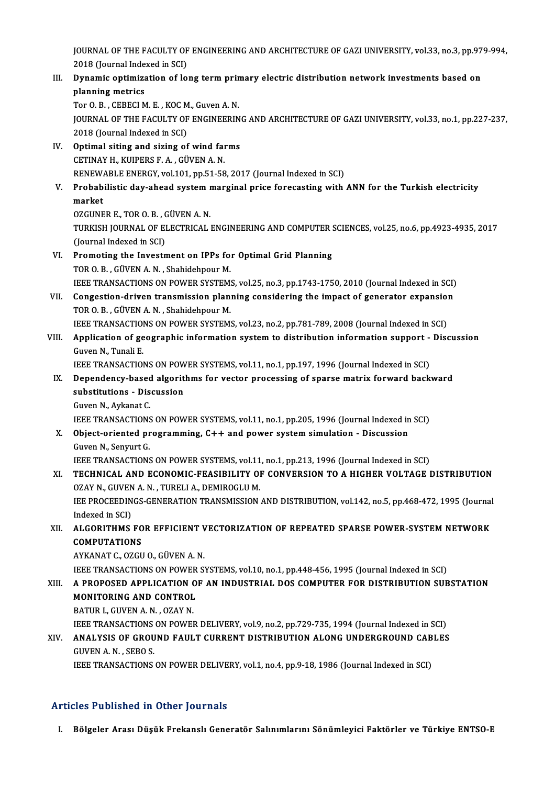JOURNAL OF THE FACULTY OF ENGINEERING AND ARCHITECTURE OF GAZI UNIVERSITY, vol.33, no.3, pp.979-994,<br>2018 (Journal Indoved in SCI) 1<br>1920 JOURNAL OF THE FACULTY<br>2018 (Journal Indexed in SCI)<br>Punamis antimination of lo JOURNAL OF THE FACULTY OF ENGINEERING AND ARCHITECTURE OF GAZI UNIVERSITY, vol.33, no.3, pp.97<br>2018 (Journal Indexed in SCI)<br>III. Dynamic optimization of long term primary electric distribution network investments based on

## 2018 (Journal Inder<br>Dynamic optimize<br>planning metrics<br>Tor O B - GEBECLM **Dynamic optimization of long term prin<br>planning metrics<br>Tor O. B., CEBECI M. E., KOC M., Guven A. N.<br>JOUPNAL OF THE EACULTY OF ENCINEEPIN**

planning metrics<br>Tor O. B. , CEBECI M. E. , KOC M., Guven A. N.<br>JOURNAL OF THE FACULTY OF ENGINEERING AND ARCHITECTURE OF GAZI UNIVERSITY, vol.33, no.1, pp.227-237,<br>2018 (Journal Indoxed in SCI) Tor O. B. , CEBECI M. E. , KOC M<br>JOURNAL OF THE FACULTY OF<br>2018 (Journal Indexed in SCI)<br>Ontimal siting and siging of JOURNAL OF THE FACULTY OF ENGINEERIN<br>2018 (Journal Indexed in SCI)<br>IV. Optimal siting and sizing of wind farms<br>CETINAV H. KUIPERS E.A. CÜVEN A.N.

2018 (Journal Indexed in SCI)<br>IV. Optimal siting and sizing of wind farms<br>CETINAY H., KUIPERS F.A., GÜVEN A.N. Optimal siting and sizing of wind farms<br>CETINAY H., KUIPERS F. A. , GÜVEN A. N.<br>RENEWABLE ENERGY, vol.101, pp.51-58, 2017 (Journal Indexed in SCI)<br>Probobilistic day abood system marginal price foresasting with

### CETINAY H., KUIPERS F. A. , GÜVEN A. N.<br>RENEWABLE ENERGY, vol.101, pp.51-58, 2017 (Journal Indexed in SCI)<br>V. Probabilistic day-ahead system marginal price forecasting with ANN for the Turkish electricity<br>market RENEWA<br>Probab<br>market<br>07CUNE Probabilistic day-ahead system i<br>market<br>OZGUNER E., TOR O. B. , GÜVEN A. N.<br>TURKISH JOURNAL OF ELECTRICAL.

market<br>OZGUNER E., TOR O. B. , GÜVEN A. N.<br>TURKISH JOURNAL OF ELECTRICAL ENGINEERING AND COMPUTER SCIENCES, vol.25, no.6, pp.4923-4935, 2017<br>(Jaunnal Indoved in SCL) OZGUNER E., TOR O. B. , C<br>TURKISH JOURNAL OF EI<br>(Journal Indexed in SCI)<br>Promoting the Investm TURKISH JOURNAL OF ELECTRICAL ENGINEERING AND COMPUTER S<br>(Journal Indexed in SCI)<br>VI. Promoting the Investment on IPPs for Optimal Grid Planning<br>TOP O B. CÜVEN A N. Shabidabnow M.

- (Journal Indexed in SCI)<br>VI. Promoting the Investment on IPPs for Optimal Grid Planning<br>TOR O. B., GÜVEN A. N., Shahidehpour M. IEEE TRANSACTIONS ON POWER SYSTEMS, vol.25, no.3, pp.1743-1750, 2010 (Journal Indexed in SCI) TOR O. B., GÜVEN A. N., Shahidehpour M.<br>IEEE TRANSACTIONS ON POWER SYSTEMS, vol.25, no.3, pp.1743-1750, 2010 (Journal Indexed in SCI)<br>VII. Congestion-driven transmission planning considering the impact of generator expansi
- THE TRANSACTIONS ON POWER SYSTEM:<br>**Congestion-driven transmission plan**<br>TOR O. B. , GÜVEN A. N. , Shahidehpour M.<br>JEEE TRANSACTIONS ON POWER SYSTEM: Congestion-driven transmission planning considering the impact of generator expansion<br>TOR O. B., GÜVEN A. N., Shahidehpour M.<br>IEEE TRANSACTIONS ON POWER SYSTEMS, vol.23, no.2, pp.781-789, 2008 (Journal Indexed in SCI)<br>Appl

IEEE TRANSACTIONS ON POWER SYSTEMS, vol.23, no.2, pp.781-789, 2008 (Journal Indexed in SCI)

TOR O. B., GÜVEN A. N., Shahidehpour M.<br>IEEE TRANSACTIONS ON POWER SYSTEMS, vol.23, no.2, pp.781-789, 2008 (Journal Indexed in SCI)<br>VIII. Application of geographic information system to distribution information support - D Application of geographic information system to distribution information support -<br>Guven N., Tunali E.<br>IEEE TRANSACTIONS ON POWER SYSTEMS, vol.11, no.1, pp.197, 1996 (Journal Indexed in SCI)<br>Dependency, based algorithms fo

- Guven N., Tunali E.<br>IEEE TRANSACTIONS ON POWER SYSTEMS, vol.11, no.1, pp.197, 1996 (Journal Indexed in SCI)<br>IX. Dependency-based algorithms for vector processing of sparse matrix forward backward<br>substitutions Discus **IEEE TRANSACTIONS ON POW<br>Dependency-based algorit<br>substitutions - Discussion**<br>Cuven N. Avkanat C **Dependency-based<br>substitutions - Dis<br>Guven N., Aykanat C.<br>IEEE TRANSACTIONS** substitutions - Discussion<br>Guven N., Aykanat C.<br>IEEE TRANSACTIONS ON POWER SYSTEMS, vol.11, no.1, pp.205, 1996 (Journal Indexed in SCI)
	-

Guven N., Aykanat C.<br>IEEE TRANSACTIONS ON POWER SYSTEMS, vol.11, no.1, pp.205, 1996 (Journal Indexed in<br>X. Object-oriented programming, C++ and power system simulation - Discussion<br>Cuven N. Sopyaut C. **IEEE TRANSACTIONS<br>Object-oriented pr<br>Guven N., Senyurt G.<br>IEEE TPANSACTIONS** Object-oriented programming, C++ and power system simulation - Discussion<br>Guven N., Senyurt G.<br>IEEE TRANSACTIONS ON POWER SYSTEMS, vol.11, no.1, pp.213, 1996 (Journal Indexed in SCI)<br>TECHNICAL AND ECONOMIC EEASIBILITY OF C

Guven N., Senyurt G.<br>IEEE TRANSACTIONS ON POWER SYSTEMS, vol.11, no.1, pp.213, 1996 (Journal Indexed in SCI)<br>XI. TECHNICAL AND ECONOMIC-FEASIBILITY OF CONVERSION TO A HIGHER VOLTAGE DISTRIBUTION<br>OZAV N. CUVEN A N. TUR IEEE TRANSACTIONS ON POWER SYSTEMS, vol.11<br>TECHNICAL AND ECONOMIC-FEASIBILITY OF<br>OZAY N., GUVEN A. N. , TURELI A., DEMIROGLU M.<br>JEE PROCEEDINCS CENERATION TRANSMISSION TECHNICAL AND ECONOMIC-FEASIBILITY OF CONVERSION TO A HIGHER VOLTAGE DISTRIBUTION<br>OZAY N., GUVEN A. N. , TURELI A., DEMIROGLU M.<br>IEE PROCEEDINGS-GENERATION TRANSMISSION AND DISTRIBUTION, vol.142, no.5, pp.468-472, 1995 (Jo OZAY N., GUVEN A. N. , TURELI A., DEMIROGLU M.<br>IEE PROCEEDINGS-GENERATION TRANSMISSION .<br>Indexed in SCI)

IEE PROCEEDINGS-GENERATION TRANSMISSION AND DISTRIBUTION, vol.142, no.5, pp.468-472, 1995 (Journal Indexed in SCI)<br>ALGORITHMS FOR EFFICIENT VECTORIZATION OF REPEATED SPARSE POWER-SYSTEM NETWORK<br>COMPUTATIONS

## XII. ALGORITHMS FOR EFFICIENT VECTORIZATION OF REPEATED SPARSE POWER-SYSTEM NETWORK COMPUTATIONS<br>AYKANAT C., OZGU O., GÜVEN A. N.<br>IEEE TRANSACTIONS ON POWER SYSTEMS, vol.10, no.1, pp.448-456, 1995 (Journal Indexed in SCI)<br>A PROPOSED APPLICATION OF AN INDUSTRIAL DOS COMPUTER FOR DISTRIPUTION SUR

AYKANATC.,OZGUO.,GÜVENA.N.

### XIII. A PROPOSED APPLICATION OF AN INDUSTRIAL DOS COMPUTER FOR DISTRIBUTION SUBSTATION **IEEE TRANSACTIONS ON POWER<br>A PROPOSED APPLICATION O<br>MONITORING AND CONTROL** MONITORING AND CONTROL<br>BATUR I., GUVEN A. N. , OZAY N.

MONITORING AND CONTROL<br>BATUR I., GUVEN A. N. , OZAY N.<br>IEEE TRANSACTIONS ON POWER DELIVERY, vol.9, no.2, pp.729-735, 1994 (Journal Indexed in SCI)<br>ANALYSIS OF CROUND FALU T CURRENT DISTRIBUTION ALONG UNDERCROUND CARLES

### BATUR I., GUVEN A. N. , OZAY N.<br>IEEE TRANSACTIONS ON POWER DELIVERY, vol.9, no.2, pp.729-735, 1994 (Journal Indexed in SCI)<br>XIV. ANALYSIS OF GROUND FAULT CURRENT DISTRIBUTION ALONG UNDERGROUND CABLES<br>CUVEN A. N. SEPO S **IEEE TRANSACTIONS<br>ANALYSIS OF GROU<br>GUVEN A. N. , SEBO S.<br>IEEE TRANSACTIONS** ANALYSIS OF GROUND FAULT CURRENT DISTRIBUTION ALONG UNDERGROUND CAB<br>GUVEN A. N. , SEBO S.<br>IEEE TRANSACTIONS ON POWER DELIVERY, vol.1, no.4, pp.9-18, 1986 (Journal Indexed in SCI)

IEEE TRANSACTIONS ON POWER DELIVERY, vol.1, no.4, pp.9-18, 1986 (Journal Indexed in SCI)<br>Articles Published in Other Journals

I. Bölgeler Arası Düşük Frekanslı Generatör Salınımlarını Sönümleyici Faktörler ve Türkiye ENTSO-E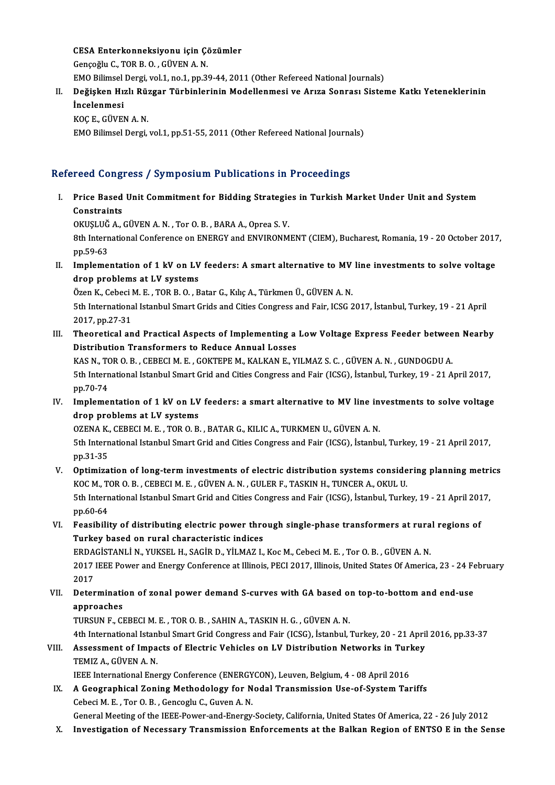CESA Enterkonneksiyonu için Çözümler CESA Enterkonneksiyonu için Çon<br>Gençoğlu C., TOR B. O. , GÜVEN A. N.<br>EMO Bilimaal Dargi val 1 no 1 nn 31 CESA Enterkonneksiyonu için Çözümler<br>Gençoğlu C., TOR B. O. , GÜVEN A. N.<br>EMO Bilimsel Dergi, vol.1, no.1, pp.39-44, 2011 (Other Refereed National Journals)<br>Değiskan Hırlı Bürgen Türbinlerinin Madellenmesi ve Anya Sennası

### Gençoğlu C., TOR B. O. , GÜVEN A. N.<br>EMO Bilimsel Dergi, vol.1, no.1, pp.39-44, 2011 (Other Refereed National Journals)<br>II. Değişken Hızlı Rüzgar Türbinlerinin Modellenmesi ve Arıza Sonrası Sisteme Katkı Yeteneklerinin EMO Bilimsel<br>De<mark>ğişken Hı:</mark><br>İncelenmesi<br>KOC E. CÜVEI De<mark>ğişken Hızlı Rü:</mark><br>İncelenmesi<br>KOÇ E., GÜVEN A. N.<br>EMO Bilimesl Dergi

İncelenmesi<br>KOÇ E., GÜVEN A. N.<br>EMO Bilimsel Dergi, vol.1, pp.51-55, 2011 (Other Refereed National Journals)

### Refereed Congress / Symposium Publications in Proceedings

efereed Congress / Symposium Publications in Proceedings<br>I. Price Based Unit Commitment for Bidding Strategies in Turkish Market Under Unit and System<br>Constreints Price Based<br>Constraints<br>OVUSUTČA Price Based Unit Commitment for Bidding Strategie<br>Constraints<br>OKUŞLUĞ A., GÜVEN A. N. , Tor O. B. , BARA A., Oprea S. V.<br><sup>9th Intornational Conference on ENERCY and ENVIRONM</sub></sup>

6th International Conference on ENERGY and ENVIRONMENT (CIEM), Bucharest, Romania, 19 - 20 October 2017,<br>8th International Conference on ENERGY and ENVIRONMENT (CIEM), Bucharest, Romania, 19 - 20 October 2017,<br>pp.59-63 OKUŞLUĞ<br>8th Intern<br>pp.59-63<br>Impleme 8th International Conference on ENERGY and ENVIRONMENT (CIEM), Bucharest, Romania, 19 - 20 October 2017<br>pp.59-63<br>II. Implementation of 1 kV on LV feeders: A smart alternative to MV line investments to solve voltage<br>drop pr

pp.59-63<br>Implementation of 1 kV on LV<br>drop problems at LV systems<br>Önen K. Cebesi M. E. TOP P. O. B Implementation of 1 kV on LV feeders: A smart alternative to MV<br>drop problems at LV systems<br>Özen K., Cebeci M. E. , TOR B. O. , Batar G., Kılıç A., Türkmen Ü., GÜVEN A. N.<br>Eth International Istanbul Smart Cride and Cities

drop problems at LV systems<br>Özen K., Cebeci M. E. , TOR B. O. , Batar G., Kılıç A., Türkmen Ü., GÜVEN A. N.<br>5th International Istanbul Smart Grids and Cities Congress and Fair, ICSG 2017, İstanbul, Turkey, 19 - 21 April<br>20 Özen K., Cebeci I<br>5th Internationa<br>2017, pp.27-31<br>Theoratical an 5th International Istanbul Smart Grids and Cities Congress and Fair, ICSG 2017, İstanbul, Turkey, 19 - 21 April<br>2017, pp.27-31<br>III. Theoretical and Practical Aspects of Implementing a Low Voltage Express Feeder between Nea

2017, pp.27-31<br>Theoretical and Practical Aspects of Implementing a<br>Distribution Transformers to Reduce Annual Losses<br>KAS N. TOR O. B., CERECIM E., COKTEREM, KALKANE, V. Theoretical and Practical Aspects of Implementing a Low Voltage Express Feeder betwee<br>Distribution Transformers to Reduce Annual Losses<br>KAS N., TOR O. B. , CEBECI M. E. , GOKTEPE M., KALKAN E., YILMAZ S. C. , GÜVEN A. N. ,

Distribution Transformers to Reduce Annual Losses<br>KAS N., TOR O. B. , CEBECI M. E. , GOKTEPE M., KALKAN E., YILMAZ S. C. , GÜVEN A. N. , GUNDOGDU A.<br>5th International Istanbul Smart Grid and Cities Congress and Fair (ICSG) KAS N., TO<br>5th Intern<br>pp.70-74<br>Impleme IV. Implementation of 1 kV on LV feeders: a smart alternative to MV line investments to solve voltage<br>IV. Implementation of 1 kV on LV feeders: a smart alternative to MV line investments to solve voltage<br>drop problems at L

pp.70-74<br>Implementation of 1 kV on LV<br>drop problems at LV systems<br>07ENA K. CEBECLM E. TOP 0 B Implementation of 1 kV on LV feeders: a smart alternative to MV line in<br>drop problems at LV systems<br>OZENA K., CEBECI M. E. , TOR O. B. , BATAR G., KILIC A., TURKMEN U., GÜVEN A. N.<br>Eth International Istanbul Smart Crid and

drop problems at LV systems<br>OZENA K., CEBECI M. E. , TOR O. B. , BATAR G., KILIC A., TURKMEN U., GÜVEN A. N.<br>5th International Istanbul Smart Grid and Cities Congress and Fair (ICSG), İstanbul, Turkey, 19 - 21 April 2017,<br> OZENA K.<br>5th Intern<br>pp.31-35<br>Ontimire Sth International Istanbul Smart Grid and Cities Congress and Fair (ICSG), İstanbul, Turkey, 19 - 21 April 2017,<br>pp.31-35<br>V. Optimization of long-term investments of electric distribution systems considering planning metri

- pp.31-35<br>V. Optimization of long-term investments of electric distribution systems considering planning metrics<br>KOC M., TOR O. B. , CEBECI M. E. , GÜVEN A. N. , GULER F., TASKIN H., TUNCER A., OKUL U. Optimization of long-term investments of electric distribution systems considering planning metri<br>KOC M., TOR O. B. , CEBECI M. E. , GÜVEN A. N. , GULER F., TASKIN H., TUNCER A., OKUL U.<br>5th International Istanbul Smart Gr KOC M., T<br>5th Intern<br>pp.60-64<br>Escaibili 5th International Istanbul Smart Grid and Cities Congress and Fair (ICSG), İstanbul, Turkey, 19 - 21 April 201<br>pp.60-64<br>VI. Feasibility of distributing electric power through single-phase transformers at rural regions of<br>T
- pp.60-64<br>Feasibility of distributing electric power thro<br>Turkey based on rural characteristic indices<br>FRACISTANLLN, VUKSEL H, SACIR D, VU MAZI Feasibility of distributing electric power through single-phase transformers at rura<br>Turkey based on rural characteristic indices<br>ERDAGİSTANLİ N., YUKSEL H., SAGİR D., YİLMAZ I., Koc M., Cebeci M. E. , Tor O. B. , GÜVEN A.

Turkey based on rural characteristic indices<br>ERDAGİSTANLİ N., YUKSEL H., SAGİR D., YİLMAZ I., Koc M., Cebeci M. E. , Tor O. B. , GÜVEN A. N.<br>2017 IEEE Power and Energy Conference at Illinois, PECI 2017, Illinois, United St ERDA<br>2017<br>2017<br>Deter

### 2017 IEEE Power and Energy Conference at Illinois, PECI 2017, Illinois, United States Of America, 23 - 24 Fe<br>2017<br>VII. Determination of zonal power demand S-curves with GA based on top-to-bottom and end-use<br>annroaches 2017<br>Determinati<br>approaches<br>TURSUN E. CI Determination of zonal power demand S-curves with GA based of<br>approaches<br>TURSUN F., CEBECI M. E. , TOR O. B. , SAHIN A., TASKIN H. G. , GÜVEN A. N.<br>4th International Istanbul Smart Crid Congress and Feir (ICSC), Istanbul

approaches<br>TURSUN F., CEBECI M. E. , TOR O. B. , SAHIN A., TASKIN H. G. , GÜVEN A. N.<br>4th International Istanbul Smart Grid Congress and Fair (ICSG), İstanbul, Turkey, 20 - 21 April 2016, pp.33-37<br>Assessment of Impests of TURSUN F., CEBECI M. E., TOR O. B., SAHIN A., TASKIN H. G., GÜVEN A. N.<br>4th International Istanbul Smart Grid Congress and Fair (ICSG), İstanbul, Turkey, 20 - 21 April<br>VIII. Assessment of Impacts of Electric Vehicles on LV

## 4th International Istan<br>Assessment of Impa<br>TEMIZ A., GÜVEN A. N.<br><sup>IEEE</sup> International Ene Assessment of Impacts of Electric Vehicles on LV Distribution Networks in Turl<br>TEMIZ A., GÜVEN A. N.<br>IEEE International Energy Conference (ENERGYCON), Leuven, Belgium, 4 - 08 April 2016<br>A Coographical Zoning Methodology fo

IEEE International Energy Conference (ENERGYCON), Leuven, Belgium, 4 - 08 April 2016

TEMIZ A., GÜVEN A. N.<br>IEEE International Energy Conference (ENERGYCON), Leuven, Belgium, 4 - 08 April 2016<br>IX. A Geographical Zoning Methodology for Nodal Transmission Use-of-System Tariffs<br>Cebeci M. E. , Tor O. B. , Genco

General Meeting of the IEEE-Power-and-Energy-Society, California, United States Of America, 22 - 26 July 2012

X. Investigation of Necessary Transmission Enforcements at the Balkan Region of ENTSO E in the Sense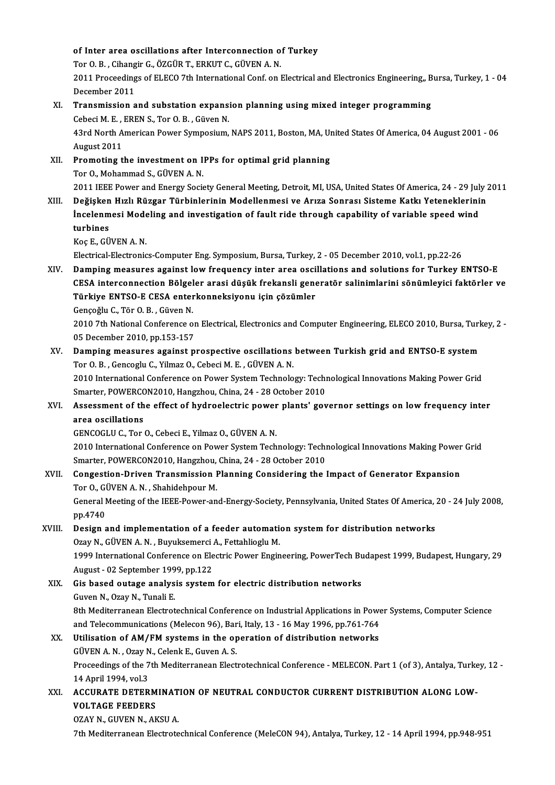## of Inter area oscillations after Interconnection of Turkey<br>Ten O.B., Cibensin C. ÖZCÜR T. ERKUT.C. CÜVEN A.N. of Inter area oscillations after Interconnection o<br>Tor O. B. , Cihangir G., ÖZGÜR T., ERKUT C., GÜVEN A. N.<br>2011 Pressedings of ELECO 7th International Corf. on l

Tor O. B., Cihangir G., ÖZGÜR T., ERKUT C., GÜVEN A. N.

2011 Proceedings of ELECO 7th International Conf. on Electrical and Electronics Engineering,, Bursa, Turkey, 1 - 04<br>December 2011 2011 Proceedings of ELECO 7th International Conf. on Electrical and Electronics Engineering,, B<br>December 2011<br>XI. Transmission and substation expansion planning using mixed integer programming<br>Coboci M. E. EREN S. Tor O. B

December 2011<br>Transmission and substation expansi<br>Cebeci M. E. , EREN S., Tor O. B. , Güven N.<br>42rd North American Bower Symposium Transmission and substation expansion planning using mixed integer programming<br>Cebeci M. E. , EREN S., Tor O. B. , Güven N.<br>43rd North American Power Symposium, NAPS 2011, Boston, MA, United States Of America, 04 August 20

Cebeci M. E.<br>43rd North A<br>August 2011<br>Promoting t 43rd North American Power Symposium, NAPS 2011, Boston, MA, U<sub>1</sub><br>August 2011<br>XII. Promoting the investment on IPPs for optimal grid planning<br>Tor Q. Mohammad S. C<sup>INCEN</sup> A. N

August 2011<br><mark>Promoting the investment on I</mark><br>Tor O., Mohammad S., GÜVEN A. N.<br>2011 IEEE Boucr and Energy Socie Promoting the investment on IPPs for optimal grid planning<br>Tor O., Mohammad S., GÜVEN A. N.<br>2011 IEEE Power and Energy Society General Meeting, Detroit, MI, USA, United States Of America, 24 - 29 July 2011<br>Doğiskan Huzlı B

Tor O., Mohammad S., GÜVEN A. N.<br>2011 IEEE Power and Energy Society General Meeting, Detroit, MI, USA, United States Of America, 24 - 29 July 2<br>XIII. Değişken Hızlı Rüzgar Türbinlerinin Modellenmesi ve Arıza Sonrası Sistem 2011 IEEE Power and Energy Society General Meeting, Detroit, MI, USA, United States Of America, 24 - 29 Jul<br>Değişken Hızlı Rüzgar Türbinlerinin Modellenmesi ve Arıza Sonrası Sisteme Katkı Yeteneklerini<br>İncelenmesi Modeling Değişken Hızlı Rüzgar Türbinlerinin Modellenmesi ve Arıza Sonrası Sisteme Katkı Yeteneklerinin<br>İncelenmesi Modeling and investigation of fault ride through capability of variable speed wind<br>turbines

KoçE.,GÜVENA.N.

Electrical-Electronics-Computer Eng.Symposium,Bursa,Turkey,2 -05December 2010,vol.1,pp.22-26

Koç E., GÜVEN A. N.<br>Electrical-Electronics-Computer Eng. Symposium, Bursa, Turkey, 2 - 05 December 2010, vol.1, pp.22-26<br>XIV. Damping measures against low frequency inter area oscillations and solutions for Turkey ENTSO-E<br> Electrical-Electronics-Computer Eng. Symposium, Bursa, Turkey, 2 - 05 December 2010, vol.1, pp.22-26<br>Damping measures against low frequency inter area oscillations and solutions for Turkey ENTSO-E<br>CESA interconnection Bölg Damping measures against low frequency inter area osci<br>CESA interconnection Bölgeler arasi düşük frekansli gene<br>Türkiye ENTSO-E CESA enterkonneksiyonu için çözümler<br>Canaağlu C. Tör O.B. Güyan M CESA interconnection Bölgeler arasi düşük frekansli generatör salinimlarini sönümleyici faktörler ve<br>Türkiye ENTSO-E CESA enterkonneksiyonu için çözümler

Gençoğlu C., Tör O.B., Güven N.

2010 7th National Conference on Electrical, Electronics and Computer Engineering, ELECO 2010, Bursa, Turkey, 2 - 05 December 2010, pp.153-157 2010 7th National Conference on Electrical, Electronics and Computer Engineering, ELECO 2010, Bursa, Turk 05 December 2010, pp.153-157<br>XV. Damping measures against prospective oscillations between Turkish grid and ENTSO-E

05 December 2010, pp.153-157<br>Damping measures against prospective oscillations<br>Tor O. B., Gencoglu C., Yilmaz O., Cebeci M. E., GÜVEN A. N.<br>2010 International Conference on Power System Technolo Damping measures against prospective oscillations between Turkish grid and ENTSO-E system<br>Tor O. B. , Gencoglu C., Yilmaz O., Cebeci M. E. , GÜVEN A. N.<br>2010 International Conference on Power System Technology: Technologic Tor O. B. , Gencoglu C., Yilmaz O., Cebeci M. E. , GÜVEN A. N.<br>2010 International Conference on Power System Technology: Technological Innovations Making Power Grid<br>Smarter, POWERCON2010, Hangzhou, China, 24 - 28 October 2

### 2010 International Conference on Power System Technology: Technological Innovations Making Power Grid<br>Smarter, POWERCON2010, Hangzhou, China, 24 - 28 October 2010<br>XVI. Assessment of the effect of hydroelectric power plants Smarter, POWERCO<br>Assessment of the<br>area oscillations Assessment of the effect of hydroelectric power<br>area oscillations<br>GENCOGLU C., Tor O., Cebeci E., Yilmaz O., GÜVEN A. N.<br>2010 International Conference on Bourer System Tech

area oscillations<br>GENCOGLU C., Tor O., Cebeci E., Yilmaz O., GÜVEN A. N.<br>2010 International Conference on Power System Technology: Technological Innovations Making Power Grid<br>Smarter POWERCON3010 Hangrhou, China 24, ...29 GENCOGLU C., Tor O., Cebeci E., Yilmaz O., GÜVEN A. N.<br>2010 International Conference on Power System Technology: Techn<br>Smarter, POWERCON2010, Hangzhou, China, 24 - 28 October 2010<br>Congestion Driven Transmission Planning Co 2010 International Conference on Power System Technology: Technological Innovations Making Power<br>Smarter, POWERCON2010, Hangzhou, China, 24 - 28 October 2010<br>XVII. Congestion-Driven Transmission Planning Considering the Im

### Smarter, POWERCON2010, Hangzhou,<br>Congestion-Driven Transmission I<br>Tor O., GÜVEN A. N. , Shahidehpour M.<br>Congral Meeting of the IEEE Bourer an General Meeting of the IEEE-Power-and-Energy-Society, Pennsylvania, United States Of America, 20 - 24 July 2008,<br>pp.4740 Tor O., GÜVEN A. N., Shahidehpour M.

### General Meeting of the IEEE-Power-and-Energy-Society, Pennsylvania, United States Of America, pp.4740<br>XVIII. Design and implementation of a feeder automation system for distribution networks<br>Qray N. CÜVEN A.N., Burukamarsi pp.4740<br>Design and implementation of a feeder automation<br>Ozay N., GÜVEN A. N. , Buyuksemerci A., Fettahlioglu M.<br>1999 International Conference on Flectric Boucar Engin Design and implementation of a feeder automation system for distribution networks<br>Ozay N., GÜVEN A. N. , Buyuksemerci A., Fettahlioglu M.<br>1999 International Conference on Electric Power Engineering, PowerTech Budapest 1999

Ozay N., GÜVEN A. N. , Buyuksemerci<br>1999 International Conference on Ele<br>August - 02 September 1999, pp.122<br>Cis based outage analysis system 1999 International Conference on Electric Power Engineering, PowerTech Bu<br>August - 02 September 1999, pp.122<br>XIX. Gis based outage analysis system for electric distribution networks<br>Cureo N. Ozav N. Tunali E

August - 02 September 1999, pp.122<br>XIX. Gis based outage analysis system for electric distribution networks<br>Guven N., Ozay N., Tunali E. Gis based outage analysis system for electric distribution networks<br>Guven N., Ozay N., Tunali E.<br>8th Mediterranean Electrotechnical Conference on Industrial Applications in Power Systems, Computer Science<br>and Telecommunica Guven N., Ozay N., Tunali E.<br>8th Mediterranean Electrotechnical Conference on Industrial Applications in Powe<br>and Telecommunications (Melecon 96), Bari, Italy, 13 - 16 May 1996, pp.761-764<br>Htilisation of AM/EM systems in t 8th Mediterranean Electrotechnical Conference on Industrial Applications in Pow<br>and Telecommunications (Melecon 96), Bari, Italy, 13 - 16 May 1996, pp.761-764<br>XX. Utilisation of AM/FM systems in the operation of distributi

and Telecommunications (Melecon 96), Bari, Italy, 13 - 16 May 1996, pp.761-764<br>Utilisation of AM/FM systems in the operation of distribution networks Proceedings of the 7th Mediterranean Electrotechnical Conference - MELECON. Part 1 (of 3), Antalya, Turkey, 12 -<br>14 April 1994, vol.3 GÜVEN A.N., Ozay N., Celenk E., Guven A.S. Proceedings of the 7th Mediterranean Electrotechnical Conference - MELECON. Part 1 (of 3), Antalya, Turke<br>14 April 1994, vol.3<br>XXI. ACCURATE DETERMINATION OF NEUTRAL CONDUCTOR CURRENT DISTRIBUTION ALONG LOW-<br>VOLTACE EEEDER

## 14 April 1994, vol.3<br>ACCURATE DETERM<br>VOLTAGE FEEDERS<br>OZAV N. CUVEN N. AL ACCURATE DETERMINAT<br>VOLTAGE FEEDERS<br>OZAY N., GUVEN N., AKSU A.<br><sup>7th Moditerraneer Electrate</sup>

VOLTAGE FEEDERS<br>OZAY N., GUVEN N., AKSU A.<br>7th Mediterranean Electrotechnical Conference (MeleCON 94), Antalya, Turkey, 12 - 14 April 1994, pp.948-951